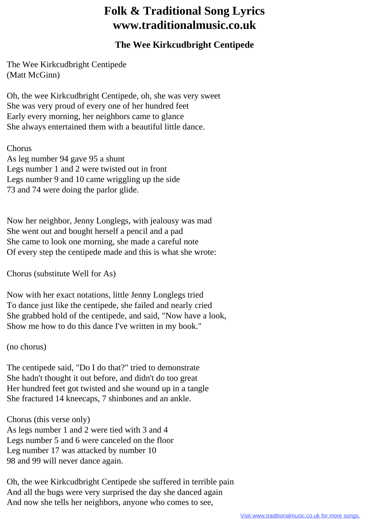## **Folk & Traditional Song Lyrics www.traditionalmusic.co.uk**

## **The Wee Kirkcudbright Centipede**

The Wee Kirkcudbright Centipede (Matt McGinn)

Oh, the wee Kirkcudbright Centipede, oh, she was very sweet She was very proud of every one of her hundred feet Early every morning, her neighbors came to glance She always entertained them with a beautiful little dance.

## **Chorus**

As leg number 94 gave 95 a shunt Legs number 1 and 2 were twisted out in front Legs number 9 and 10 came wriggling up the side 73 and 74 were doing the parlor glide.

Now her neighbor, Jenny Longlegs, with jealousy was mad She went out and bought herself a pencil and a pad She came to look one morning, she made a careful note Of every step the centipede made and this is what she wrote:

Chorus (substitute Well for As)

Now with her exact notations, little Jenny Longlegs tried To dance just like the centipede, she failed and nearly cried She grabbed hold of the centipede, and said, "Now have a look, Show me how to do this dance I've written in my book."

(no chorus)

The centipede said, "Do I do that?" tried to demonstrate She hadn't thought it out before, and didn't do too great Her hundred feet got twisted and she wound up in a tangle She fractured 14 kneecaps, 7 shinbones and an ankle.

Chorus (this verse only) As legs number 1 and 2 were tied with 3 and 4 Legs number 5 and 6 were canceled on the floor Leg number 17 was attacked by number 10 98 and 99 will never dance again.

Oh, the wee Kirkcudbright Centipede she suffered in terrible pain And all the bugs were very surprised the day she danced again And now she tells her neighbors, anyone who comes to see,